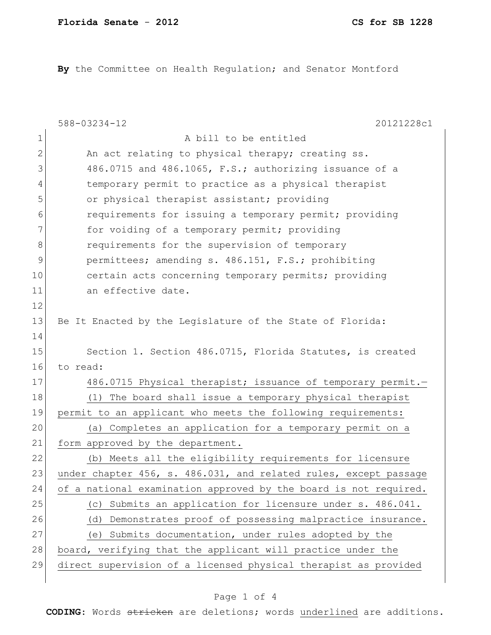**By** the Committee on Health Regulation; and Senator Montford

|               | $588 - 03234 - 12$<br>20121228c1                                 |
|---------------|------------------------------------------------------------------|
| 1             | A bill to be entitled                                            |
| 2             | An act relating to physical therapy; creating ss.                |
| 3             | 486.0715 and 486.1065, F.S.; authorizing issuance of a           |
| 4             | temporary permit to practice as a physical therapist             |
| 5             | or physical therapist assistant; providing                       |
| 6             | requirements for issuing a temporary permit; providing           |
| 7             | for voiding of a temporary permit; providing                     |
| 8             | requirements for the supervision of temporary                    |
| $\mathcal{G}$ | permittees; amending s. 486.151, F.S.; prohibiting               |
| 10            | certain acts concerning temporary permits; providing             |
| 11            | an effective date.                                               |
| 12            |                                                                  |
| 13            | Be It Enacted by the Legislature of the State of Florida:        |
| 14            |                                                                  |
| 15            | Section 1. Section 486.0715, Florida Statutes, is created        |
| 16            | to read:                                                         |
| 17            | 486.0715 Physical therapist; issuance of temporary permit.-      |
| 18            | (1)<br>The board shall issue a temporary physical therapist      |
| 19            | permit to an applicant who meets the following requirements:     |
| 20            | (a) Completes an application for a temporary permit on a         |
| 21            | form approved by the department.                                 |
| 22            | (b) Meets all the eligibility requirements for licensure         |
| 23            | under chapter 456, s. 486.031, and related rules, except passage |
| 24            | of a national examination approved by the board is not required. |
| 25            | Submits an application for licensure under s. 486.041.<br>(C)    |
| 26            | Demonstrates proof of possessing malpractice insurance.<br>(d)   |
| 27            | Submits documentation, under rules adopted by the<br>(e)         |
| 28            | board, verifying that the applicant will practice under the      |
| 29            | direct supervision of a licensed physical therapist as provided  |
|               |                                                                  |

## Page 1 of 4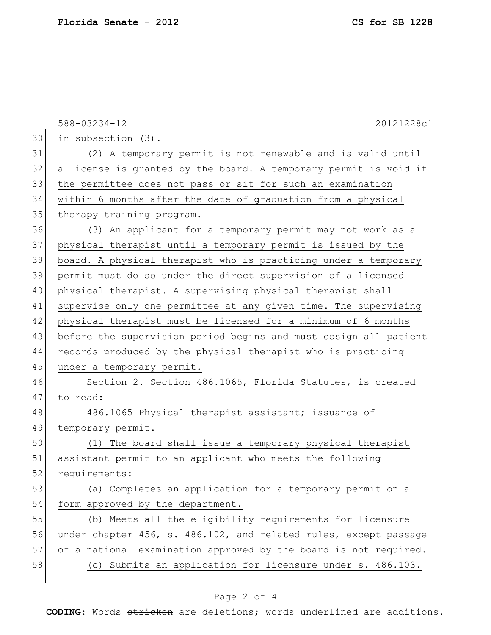|    | $588 - 03234 - 12$<br>20121228c1                                 |
|----|------------------------------------------------------------------|
| 30 | in subsection (3).                                               |
| 31 | (2) A temporary permit is not renewable and is valid until       |
| 32 | a license is granted by the board. A temporary permit is void if |
| 33 | the permittee does not pass or sit for such an examination       |
| 34 | within 6 months after the date of graduation from a physical     |
| 35 | therapy training program.                                        |
| 36 | (3) An applicant for a temporary permit may not work as a        |
| 37 | physical therapist until a temporary permit is issued by the     |
| 38 | board. A physical therapist who is practicing under a temporary  |
| 39 | permit must do so under the direct supervision of a licensed     |
| 40 | physical therapist. A supervising physical therapist shall       |
| 41 | supervise only one permittee at any given time. The supervising  |
| 42 | physical therapist must be licensed for a minimum of 6 months    |
| 43 | before the supervision period begins and must cosign all patient |
| 44 | records produced by the physical therapist who is practicing     |
| 45 | under a temporary permit.                                        |
| 46 | Section 2. Section 486.1065, Florida Statutes, is created        |
| 47 | to read:                                                         |
| 48 | 486.1065 Physical therapist assistant; issuance of               |
| 49 | temporary permit.-                                               |
| 50 | (1) The board shall issue a temporary physical therapist         |
| 51 | assistant permit to an applicant who meets the following         |
| 52 | requirements:                                                    |
| 53 | (a) Completes an application for a temporary permit on a         |
| 54 | form approved by the department.                                 |
| 55 | (b) Meets all the eligibility requirements for licensure         |
| 56 | under chapter 456, s. 486.102, and related rules, except passage |
| 57 | of a national examination approved by the board is not required. |
| 58 | (c) Submits an application for licensure under s. 486.103.       |
|    |                                                                  |

## Page 2 of 4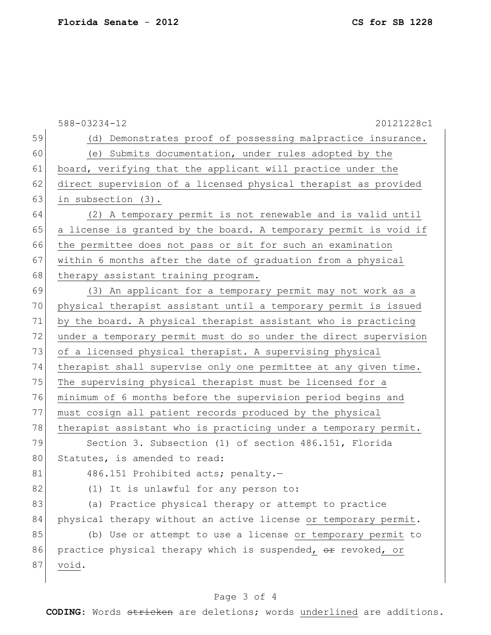588-03234-12 20121228c1 59 (d) Demonstrates proof of possessing malpractice insurance. 60 (e) Submits documentation, under rules adopted by the 61 board, verifying that the applicant will practice under the 62 direct supervision of a licensed physical therapist as provided 63 in subsection (3). 64 (2) A temporary permit is not renewable and is valid until 65 a license is granted by the board. A temporary permit is void if 66 the permittee does not pass or sit for such an examination 67 | within 6 months after the date of graduation from a physical 68 therapy assistant training program. 69 (3) An applicant for a temporary permit may not work as a 70 physical therapist assistant until a temporary permit is issued 71 by the board. A physical therapist assistant who is practicing 72 under a temporary permit must do so under the direct supervision 73 of a licensed physical therapist. A supervising physical 74 therapist shall supervise only one permittee at any given time. 75 The supervising physical therapist must be licensed for a 76 minimum of 6 months before the supervision period begins and 77 must cosign all patient records produced by the physical 78 therapist assistant who is practicing under a temporary permit. 79 Section 3. Subsection (1) of section 486.151, Florida 80 Statutes, is amended to read: 81 486.151 Prohibited acts; penalty.-82 (1) It is unlawful for any person to: 83 (a) Practice physical therapy or attempt to practice 84 physical therapy without an active license or temporary permit. 85 (b) Use or attempt to use a license or temporary permit to 86 practice physical therapy which is suspended, or revoked, or 87 void.

## Page 3 of 4